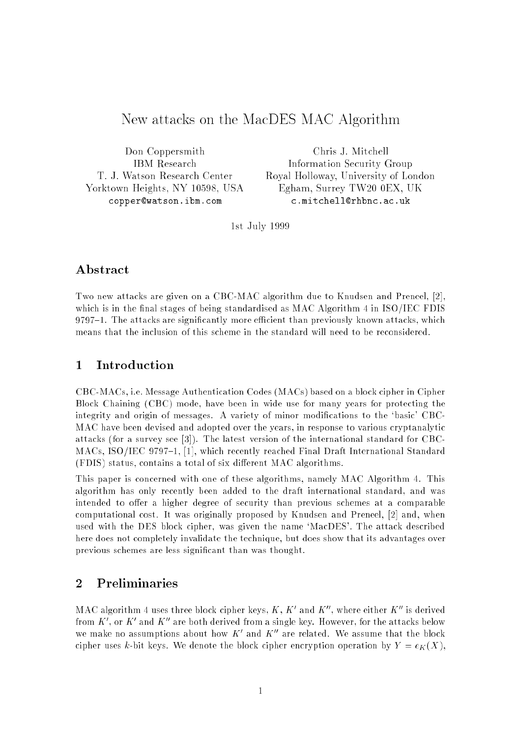# New attacks on the MacDES MAC Algorithm

Don Coppersmith IBM Research T. J. Watson Research Center Yorktown Heights, NY 10598, USA copper@watson.ibm.com

Chris J. Mitchell Information Security Group Royal Holloway, University of London Egham, Surrey TW20 0EX, UK c.mitchell@rhbnc.ac.uk

1st July 1999

## Abstract

Two new attacks are given on a CBC-MAC algorithm due to Knudsen and Preneel, [2], which is in the final stages of being standardised as MAC Algorithm  $4$  in ISO/IEC FDIS  $9797-1$ . The attacks are significantly more efficient than previously known attacks, which means that the inclusion of this scheme in the standard will need to be reconsidered.

## 1 Introduction

CBC-MACs, i.e. Message Authentication Codes (MACs) based on a block cipher in Cipher Block Chaining (CBC) mode, have been in wide use for many years for protecting the integrity and origin of messages. A variety of minor modifications to the 'basic' CBC-MAC have been devised and adopted over the years, in response to various cryptanalytic attacks (for a survey see [3]). The latest version of the international standard for CBC-MACs, ISO/IEC 9797-1, [1], which recently reached Final Draft International Standard (FDIS) status, contains a total of six different MAC algorithms.

This paper is concerned with one of these algorithms, namely MAC Algorithm 4. This algorithm has only recently been added to the draft international standard, and was intended to offer a higher degree of security than previous schemes at a comparable computational cost. It was originally proposed by Knudsen and Preneel, [2] and, when used with the DES block cipher, was given the name 'MacDES'. The attack described here does not completely invalidate the technique, but does show that its advantages over previous schemes are less signicant than was thought.

# <sup>2</sup> Preliminaries

MAC algorithm 4 uses three block cipher keys,  $K$  ,  $K$  and  $K$  , where either  $K$  is derived from  $K$  , or  $K$  and  $K$  are both derived from a single key. However, for the attacks below we make no assumptions about now  $K^+$  and  $K^+$  are related. We assume that the block cipher uses k-bit keys. We denote the block cipher encryption operation by  $Y = e_K(X)$ ,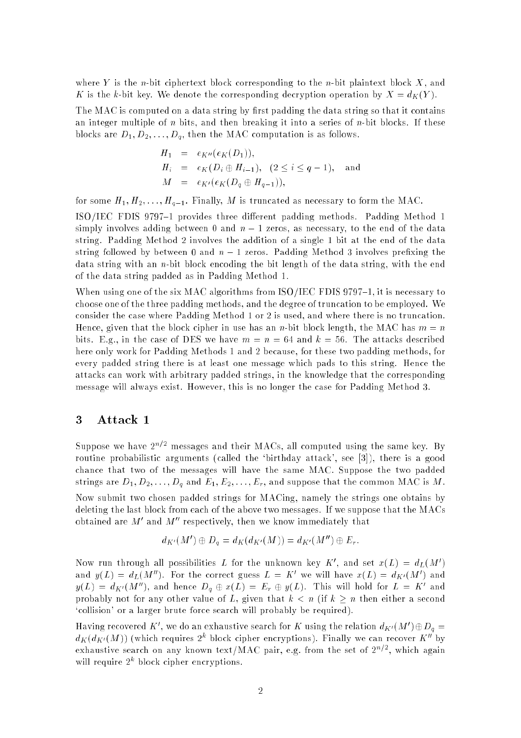where Y is the *n*-bit ciphertext block corresponding to the *n*-bit plaintext block X, and K is the k-bit key. We denote the corresponding decryption operation by  $X = d_K(Y)$ .

The MAC is computed on a data string by first padding the data string so that it contains an integer multiple of n bits, and then breaking it into a series of n-bit blocks. If these blocks are  $D_1, D_2, \ldots, D_q$ , then the MAC computation is as follows.

$$
H_1 = e_{K''}(e_K(D_1)),
$$
  
\n
$$
H_i = e_K(D_i \oplus H_{i-1}), (2 \le i \le q-1), \text{ and}
$$
  
\n
$$
M = e_{K'}(e_K(D_q \oplus H_{q-1})),
$$

for some  $H_1, H_2, \ldots, H_{q-1}$ . Finally, M is truncated as necessary to form the MAC.

ISO/IEC FDIS 9797-1 provides three different padding methods. Padding Method 1 simply involves adding between 0 and  $n-1$  zeros, as necessary, to the end of the data string. Padding Method 2 involves the addition of a single 1 bit at the end of the data string followed by between 0 and  $n-1$  zeros. Padding Method 3 involves prefixing the data string with an n-bit block encoding the bit length of the data string, with the end of the data string padded as in Padding Method 1.

When using one of the six MAC algorithms from ISO/IEC FDIS 9797-1, it is necessary to choose one of the three padding methods, and the degree of truncation to be employed. We consider the case where Padding Method 1 or 2 is used, and where there is no truncation. Hence, given that the block cipher in use has an n-bit block length, the MAC has  $m = n$ bits. E.g., in the case of DES we have  $m = n = 64$  and  $k = 56$ . The attacks described here only work for Padding Methods 1 and 2 because, for these two padding methods, for every padded string there is at least one message which pads to this string. Hence the attacks can work with arbitrary padded strings, in the knowledge that the corresponding message will always exist. However, this is no longer the case for Padding Method 3.

#### 3 Attack 1

Suppose we have  $2^{n/2}$  messages and their MACs, all computed using the same key. By routine probabilistic arguments (called the `birthday attack', see [3]), there is a good chance that two of the messages will have the same MAC. Suppose the two padded strings are  $D_1, D_2, \ldots, D_q$  and  $E_1, E_2, \ldots, E_r$ , and suppose that the common MAC is M. Now submit two chosen padded strings for MACing, namely the strings one obtains by deleting the last block from each of the above two messages. If we suppose that the MACs obtained are  $M$  -and  $M$  -respectively, then we know immediately that

$$
d_{K'}(M') \oplus D_q = d_K(d_{K'}(M)) = d_{K'}(M'') \oplus E_r.
$$

Now run through all possibilities L for the unknown key  $K$  , and set  $x(L) = a_L(M)$ and  $y(L) = a_L(M)$ . For the correct guess  $L = K$  we will have  $x(L) = a_{K'}(M)$  and  $y(L) = a_{K'}(M)$ , and hence  $D_g \oplus x(L) = L_r \oplus y(L)$ . This will hold for  $L = K$  and probably not for any other value of L, given that  $k < n$  (if  $k \geq n$  then either a second `collision' or a larger brute force search will probably be required).

Having recovered  $K$ , we do an exhaustive search for  $K$  using the relation  $a_{K'}(M_+) \oplus D_q \equiv$  $a_{K}(a_{K'}(M))$  (which requires 2° block cipher encryptions). Finally we can recover  $\boldsymbol{\Lambda}$  by exhaustive search on any known text/mAC pair, e.g. from the set of 2<sup>27</sup> , which again will require 2 block cipher encryptions.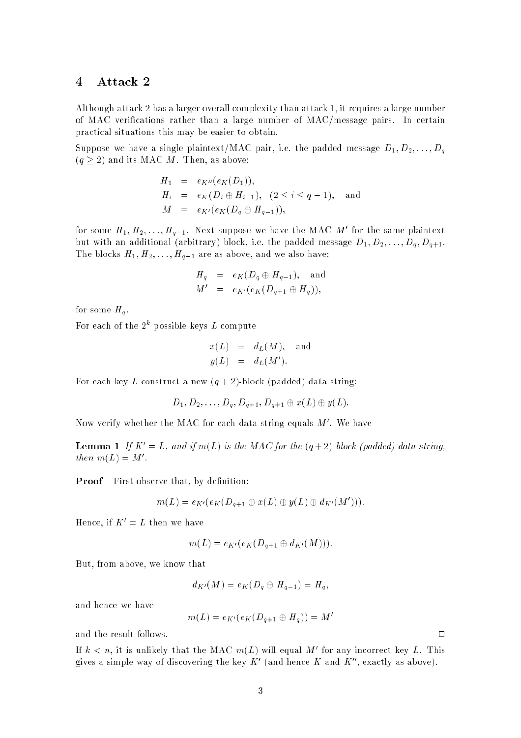### 4 Attack 2

Although attack 2 has a larger overall complexity than attack 1, it requires a large number of MAC verications rather than a large number of MAC/message pairs. In certain practical situations this may be easier to obtain.

Suppose we have a single plaintext/MAC pair, i.e. the padded message  $D_1, D_2, \ldots, D_q$  $(q \geq 2)$  and its MAC M. Then, as above:

$$
H_1 = e_{K''}(e_K(D_1)),
$$
  
\n
$$
H_i = e_K(D_i \oplus H_{i-1}), (2 \le i \le q-1), \text{ and}
$$
  
\n
$$
M = e_{K'}(e_K(D_q \oplus H_{q-1})),
$$

for some  $H_1, H_2, \ldots, H_{g-1}$ . Next suppose we have the MAC M for the same plaintext but with an additional (arbitrary) block, i.e. the padded message  $D_1, D_2, \ldots, D_q, D_{q+1}$ . The blocks  $H_1, H_2, \ldots, H_{q-1}$  are as above, and we also have:

$$
H_q = e_K(D_q \oplus H_{q-1}), \text{ and}
$$
  

$$
M' = e_{K'}(e_K(D_{q+1} \oplus H_q)),
$$

for some  $H_q$ .

For each of the 2th possible keys L compute

$$
x(L) = dL(M), and
$$
  

$$
y(L) = dL(M').
$$

For each key L construct a new  $(q + 2)$ -block (padded) data string:

$$
D_1, D_2, \ldots, D_q, D_{q+1}, D_{q+1} \oplus x(L) \oplus y(L).
$$

Now verify whether the MAC for each data string equals  $M$  . We have

**Lemma 1** If  $K' = L$ , and if  $m(L)$  is the MAC for the  $(q + 2)$ -block (padded) data string,  $then m(L) = M$ .

**Proof** First observe that, by definition:

$$
m(L) = e_{K'}(e_K(D_{q+1} \oplus x(L) \oplus y(L) \oplus d_{K'}(M'))).
$$

Hence, if  $K' = L$  then we have

$$
m(L) = e_{K'}(e_K(D_{q+1} \oplus d_{K'}(M))).
$$

But, from above, we know that

$$
d_{K'}(M)=e_K(D_q\oplus H_{q-1})=H_q,
$$

and hence we have

$$
m(L)=e_{K'}(e_K(D_{q+1}\oplus H_q))=M'
$$

and the result follows.

If  $\kappa < n$ , it is unlikely that the MAC  $m(L)$  will equal M for any incorrect key L. This gives a simple way of discovering the key  $K^0$  tand hence  $K^0$  and  $K^0$  , exactly as above).

 $\Box$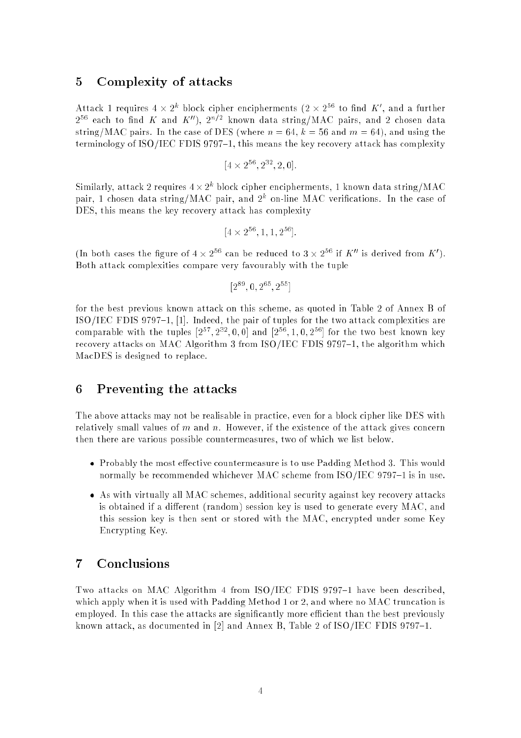## 5 Complexity of attacks

Attack I requires 4  $\times$  2° block cipher encipherments (2  $\times$  2° to find  $K$  , and a further  $2^{++}$  each to find  $K$  and  $K$  ),  $2^{++}$  known data string/mAC pairs, and 2 chosen data string/MAC pairs. In the case of DES (where  $n = 64$ ,  $k = 56$  and  $m = 64$ ), and using the terminology of  $ISO/IEC$  FDIS 9797-1, this means the key recovery attack has complexity

$$
[4 \times 2^{56}, 2^{32}, 2, 0].
$$

Similarly, attack 2 requires  $4 \times 2^+$  block cipher encipherments, 1 known data string/MAC pair, I chosen data string/MAC pair, and 2° on-line MAC verincations. In the case of DES, this means the key recovery attack has complexity

$$
[4 \times 2^{56}, 1, 1, 2^{56}].
$$

(In both cases the figure of  $4 \times 2^{++}$  can be reduced to  $3 \times 2^{++}$  if  $K$  is derived from  $K$  ). Both attack complexities compare very favourably with the tuple

$$
[2^{89},0,2^{65},2^{55}]
$$

for the best previous known attack on this scheme, as quoted in Table 2 of Annex B of ISO/IEC FDIS  $9797-1$ , [1]. Indeed, the pair of tuples for the two attack complexities are comparable with the tuples  $[2^-, 2^-, 0, 0]$  and  $[2^-, 1, 0, 2^+]$  for the two best known key recovery attacks on MAC Algorithm 3 from  $ISO/IEC$  FDIS 9797-1, the algorithm which MacDES is designed to replace.

#### 6 Preventing the attacks

The above attacks may not be realisable in practice, even for a block cipher like DES with relatively small values of  $m$  and  $n$ . However, if the existence of the attack gives concern then there are various possible countermeasures, two of which we list below.

- Probably the most effective countermeasure is to use Padding Method 3. This would normally be recommended whichever MAC scheme from  $ISO/IEC 9797-1$  is in use.
- As with virtually all MAC schemes, additional security against key recovery attacks is obtained if a different (random) session key is used to generate every MAC, and this session key is then sent or stored with the MAC, encrypted under some Key Encrypting Key.

### 7 Conclusions

Two attacks on MAC Algorithm 4 from  $ISO/IEC$  FDIS 9797-1 have been described, which apply when it is used with Padding Method 1 or 2, and where no MAC truncation is employed. In this case the attacks are significantly more efficient than the best previously known attack, as documented in [2] and Annex B, Table 2 of  $ISO/IEC$  FDIS 9797-1.